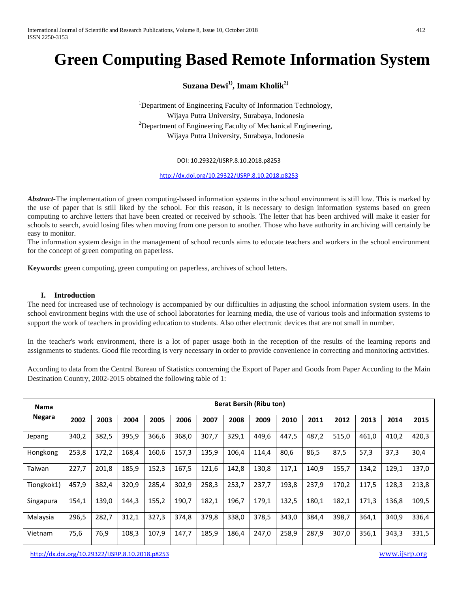# **Green Computing Based Remote Information System**

**Suzana Dewi1), Imam Kholik2)**

<sup>1</sup>Department of Engineering Faculty of Information Technology, Wijaya Putra University, Surabaya, Indonesia  $2$ Department of Engineering Faculty of Mechanical Engineering, Wijaya Putra University, Surabaya, Indonesia

#### DOI: 10.29322/IJSRP.8.10.2018.p8253

<http://dx.doi.org/10.29322/IJSRP.8.10.2018.p8253>

*Abstract-*The implementation of green computing-based information systems in the school environment is still low. This is marked by the use of paper that is still liked by the school. For this reason, it is necessary to design information systems based on green computing to archive letters that have been created or received by schools. The letter that has been archived will make it easier for schools to search, avoid losing files when moving from one person to another. Those who have authority in archiving will certainly be easy to monitor.

The information system design in the management of school records aims to educate teachers and workers in the school environment for the concept of green computing on paperless.

**Keywords**: green computing, green computing on paperless, archives of school letters.

#### **I. Introduction**

The need for increased use of technology is accompanied by our difficulties in adjusting the school information system users. In the school environment begins with the use of school laboratories for learning media, the use of various tools and information systems to support the work of teachers in providing education to students. Also other electronic devices that are not small in number.

In the teacher's work environment, there is a lot of paper usage both in the reception of the results of the learning reports and assignments to students. Good file recording is very necessary in order to provide convenience in correcting and monitoring activities.

According to data from the Central Bureau of Statistics concerning the Export of Paper and Goods from Paper According to the Main Destination Country, 2002-2015 obtained the following table of 1:

| <b>Nama</b> | <b>Berat Bersih (Ribu ton)</b> |       |       |       |       |       |       |       |       |       |       |       |       |       |
|-------------|--------------------------------|-------|-------|-------|-------|-------|-------|-------|-------|-------|-------|-------|-------|-------|
| Negara      | 2002                           | 2003  | 2004  | 2005  | 2006  | 2007  | 2008  | 2009  | 2010  | 2011  | 2012  | 2013  | 2014  | 2015  |
| Jepang      | 340,2                          | 382,5 | 395,9 | 366,6 | 368,0 | 307,7 | 329,1 | 449,6 | 447,5 | 487,2 | 515,0 | 461,0 | 410,2 | 420,3 |
| Hongkong    | 253,8                          | 172,2 | 168,4 | 160,6 | 157,3 | 135,9 | 106,4 | 114,4 | 80,6  | 86,5  | 87,5  | 57,3  | 37,3  | 30,4  |
| Taiwan      | 227,7                          | 201,8 | 185,9 | 152,3 | 167,5 | 121,6 | 142,8 | 130,8 | 117,1 | 140,9 | 155,7 | 134,2 | 129,1 | 137,0 |
| Tiongkok1)  | 457,9                          | 382,4 | 320,9 | 285,4 | 302,9 | 258,3 | 253,7 | 237,7 | 193,8 | 237,9 | 170,2 | 117,5 | 128,3 | 213,8 |
| Singapura   | 154,1                          | 139,0 | 144,3 | 155,2 | 190,7 | 182,1 | 196,7 | 179,1 | 132,5 | 180,1 | 182,1 | 171,3 | 136,8 | 109,5 |
| Malaysia    | 296,5                          | 282,7 | 312,1 | 327,3 | 374,8 | 379,8 | 338,0 | 378,5 | 343,0 | 384,4 | 398.7 | 364,1 | 340,9 | 336,4 |
| Vietnam     | 75,6                           | 76,9  | 108,3 | 107,9 | 147,7 | 185,9 | 186,4 | 247,0 | 258,9 | 287,9 | 307,0 | 356,1 | 343,3 | 331,5 |

<http://dx.doi.org/10.29322/IJSRP.8.10.2018.p8253> [www.ijsrp.org](http://ijsrp.org/)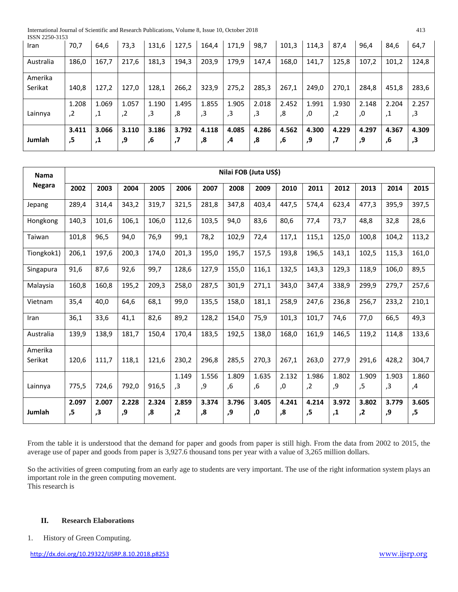International Journal of Scientific and Research Publications, Volume 8, Issue 10, October 2018 413

| ISSN 2250-3153 |       |       |       |       |       |       |       |               |       |       |       |       |       |       |
|----------------|-------|-------|-------|-------|-------|-------|-------|---------------|-------|-------|-------|-------|-------|-------|
| Iran           | 70,7  | 64,6  | 73,3  | 131,6 | 127,5 | 164,4 | 171,9 | 98,7          | 101,3 | 114,3 | 87,4  | 96,4  | 84,6  | 64,7  |
|                |       |       |       |       |       |       |       |               |       |       |       |       |       |       |
| Australia      | 186,0 | 167,7 | 217,6 | 181,3 | 194,3 | 203,9 | 179,9 | 147,4         | 168,0 | 141,7 | 125,8 | 107,2 | 101,2 | 124,8 |
|                |       |       |       |       |       |       |       |               |       |       |       |       |       |       |
| Amerika        |       |       |       |       |       |       |       |               |       |       |       |       |       |       |
| Serikat        | 140,8 | 127,2 | 127,0 | 128,1 | 266,2 | 323,9 | 275,2 | 285,3         | 267,1 | 249,0 | 270,1 | 284,8 | 451,8 | 283,6 |
|                |       |       |       |       |       |       |       |               |       |       |       |       |       |       |
|                | 1.208 | 1.069 | 1.057 | 1.190 | 1.495 | 1.855 | 1.905 | 2.018         | 2.452 | 1.991 | 1.930 | 2.148 | 2.204 | 2.257 |
| Lainnya        | ,2    | , т   | .2    | 3,    | 8,    | ,3    | ,3    | $\mathbf{.3}$ | .8    | .0    | 2,    | .0    | .1    | 3,    |
|                |       |       |       |       |       |       |       |               |       |       |       |       |       |       |
|                | 3.411 | 3.066 | 3.110 | 3.186 | 3.792 | 4.118 | 4.085 | 4.286         | 4.562 | 4.300 | 4.229 | 4.297 | 4.367 | 4.309 |
| Jumlah         | ,5    | .1    | 9,    | ,6    | ,7    | ,8    | 4,    | ,8            | .6    | و,    | ,7    | 9,    | ,6    | 3,    |
|                |       |       |       |       |       |       |       |               |       |       |       |       |       |       |

| <b>Nama</b>        |             | Nilai FOB (Juta US\$) |             |             |             |             |             |             |             |             |             |             |             |             |  |
|--------------------|-------------|-----------------------|-------------|-------------|-------------|-------------|-------------|-------------|-------------|-------------|-------------|-------------|-------------|-------------|--|
| <b>Negara</b>      | 2002        | 2003                  | 2004        | 2005        | 2006        | 2007        | 2008        | 2009        | 2010        | 2011        | 2012        | 2013        | 2014        | 2015        |  |
| Jepang             | 289,4       | 314,4                 | 343,2       | 319,7       | 321,5       | 281,8       | 347,8       | 403,4       | 447,5       | 574,4       | 623,4       | 477,3       | 395,9       | 397,5       |  |
| Hongkong           | 140,3       | 101,6                 | 106,1       | 106,0       | 112,6       | 103,5       | 94,0        | 83,6        | 80,6        | 77,4        | 73,7        | 48,8        | 32,8        | 28,6        |  |
| Taiwan             | 101.8       | 96,5                  | 94,0        | 76,9        | 99,1        | 78,2        | 102,9       | 72,4        | 117,1       | 115,1       | 125,0       | 100,8       | 104,2       | 113,2       |  |
| Tiongkok1)         | 206,1       | 197,6                 | 200,3       | 174,0       | 201,3       | 195,0       | 195,7       | 157,5       | 193,8       | 196,5       | 143,1       | 102,5       | 115,3       | 161,0       |  |
| Singapura          | 91,6        | 87,6                  | 92,6        | 99,7        | 128,6       | 127,9       | 155,0       | 116,1       | 132,5       | 143,3       | 129,3       | 118,9       | 106,0       | 89,5        |  |
| Malaysia           | 160,8       | 160,8                 | 195,2       | 209,3       | 258,0       | 287,5       | 301,9       | 271,1       | 343,0       | 347,4       | 338,9       | 299,9       | 279,7       | 257,6       |  |
| Vietnam            | 35,4        | 40,0                  | 64,6        | 68,1        | 99,0        | 135,5       | 158,0       | 181,1       | 258,9       | 247,6       | 236,8       | 256,7       | 233,2       | 210,1       |  |
| Iran               | 36,1        | 33,6                  | 41,1        | 82,6        | 89,2        | 128,2       | 154,0       | 75,9        | 101,3       | 101,7       | 74,6        | 77,0        | 66,5        | 49,3        |  |
| Australia          | 139,9       | 138,9                 | 181,7       | 150,4       | 170,4       | 183,5       | 192,5       | 138,0       | 168,0       | 161,9       | 146,5       | 119,2       | 114,8       | 133,6       |  |
| Amerika<br>Serikat | 120,6       | 111,7                 | 118,1       | 121,6       | 230,2       | 296,8       | 285,5       | 270,3       | 267,1       | 263,0       | 277,9       | 291,6       | 428,2       | 304,7       |  |
| Lainnya            | 775,5       | 724,6                 | 792,0       | 916,5       | 1.149<br>3, | 1.556<br>و, | 1.809<br>,6 | 1.635<br>,6 | 2.132       | 1.986<br>,2 | 1.802<br>9, | 1.909<br>,5 | 1.903<br>,3 | 1.860       |  |
|                    |             |                       |             |             |             |             |             |             | ,0          |             |             |             |             | 4,          |  |
| Jumlah             | 2.097<br>,5 | 2.007<br>3,           | 2.228<br>9, | 2.324<br>,8 | 2.859<br>,2 | 3.374<br>,8 | 3.796<br>و, | 3.405<br>,0 | 4.241<br>,8 | 4.214<br>,5 | 3.972<br>,1 | 3.802<br>,2 | 3.779<br>و, | 3.605<br>,5 |  |

From the table it is understood that the demand for paper and goods from paper is still high. From the data from 2002 to 2015, the average use of paper and goods from paper is 3,927.6 thousand tons per year with a value of 3,265 million dollars.

So the activities of green computing from an early age to students are very important. The use of the right information system plays an important role in the green computing movement. This research is

## **II. Research Elaborations**

1. History of Green Computing.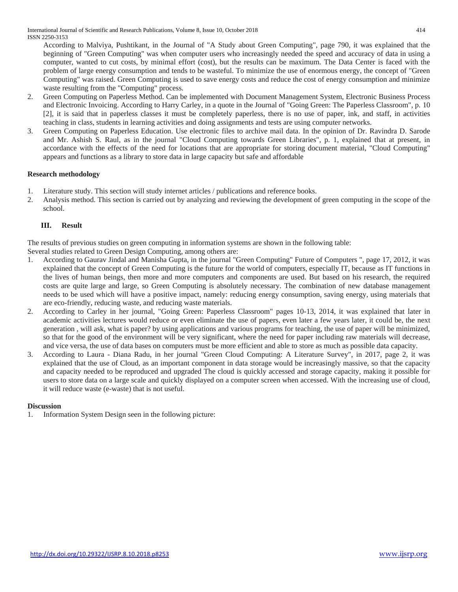International Journal of Scientific and Research Publications, Volume 8, Issue 10, October 2018 414 ISSN 2250-3153

According to Malviya, Pushtikant, in the Journal of "A Study about Green Computing", page 790, it was explained that the beginning of "Green Computing" was when computer users who increasingly needed the speed and accuracy of data in using a computer, wanted to cut costs, by minimal effort (cost), but the results can be maximum. The Data Center is faced with the problem of large energy consumption and tends to be wasteful. To minimize the use of enormous energy, the concept of "Green Computing" was raised. Green Computing is used to save energy costs and reduce the cost of energy consumption and minimize waste resulting from the "Computing" process.

- 2. Green Computing on Paperless Method. Can be implemented with Document Management System, Electronic Business Process and Electronic Invoicing. According to Harry Carley, in a quote in the Journal of "Going Green: The Paperless Classroom", p. 10 [2], it is said that in paperless classes it must be completely paperless, there is no use of paper, ink, and staff, in activities teaching in class, students in learning activities and doing assignments and tests are using computer networks.
- 3. Green Computing on Paperless Education. Use electronic files to archive mail data. In the opinion of Dr. Ravindra D. Sarode and Mr. Ashish S. Raul, as in the journal "Cloud Computing towards Green Libraries", p. 1, explained that at present, in accordance with the effects of the need for locations that are appropriate for storing document material, "Cloud Computing" appears and functions as a library to store data in large capacity but safe and affordable

## **Research methodology**

- 1. Literature study. This section will study internet articles / publications and reference books.
- 2. Analysis method. This section is carried out by analyzing and reviewing the development of green computing in the scope of the school.

## **III. Result**

The results of previous studies on green computing in information systems are shown in the following table:

Several studies related to Green Design Computing, among others are:

- 1. According to Gaurav Jindal and Manisha Gupta, in the journal "Green Computing" Future of Computers ", page 17, 2012, it was explained that the concept of Green Computing is the future for the world of computers, especially IT, because as IT functions in the lives of human beings, then more and more computers and components are used. But based on his research, the required costs are quite large and large, so Green Computing is absolutely necessary. The combination of new database management needs to be used which will have a positive impact, namely: reducing energy consumption, saving energy, using materials that are eco-friendly, reducing waste, and reducing waste materials.
- 2. According to Carley in her journal, "Going Green: Paperless Classroom" pages 10-13, 2014, it was explained that later in academic activities lectures would reduce or even eliminate the use of papers, even later a few years later, it could be, the next generation , will ask, what is paper? by using applications and various programs for teaching, the use of paper will be minimized, so that for the good of the environment will be very significant, where the need for paper including raw materials will decrease, and vice versa, the use of data bases on computers must be more efficient and able to store as much as possible data capacity.
- 3. According to Laura Diana Radu, in her journal "Green Cloud Computing: A Literature Survey", in 2017, page 2, it was explained that the use of Cloud, as an important component in data storage would be increasingly massive, so that the capacity and capacity needed to be reproduced and upgraded The cloud is quickly accessed and storage capacity, making it possible for users to store data on a large scale and quickly displayed on a computer screen when accessed. With the increasing use of cloud, it will reduce waste (e-waste) that is not useful.

## **Discussion**

1. Information System Design seen in the following picture: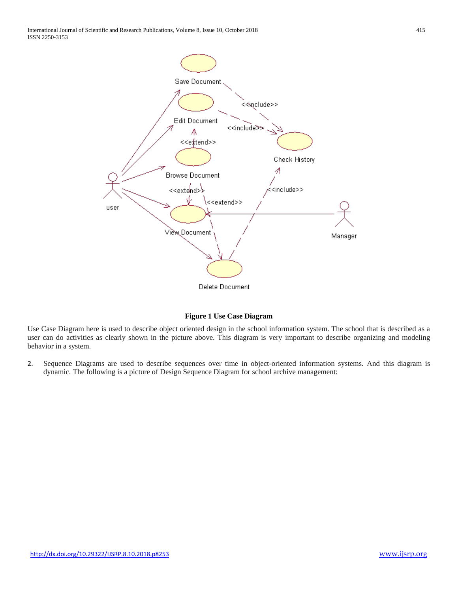

**Figure 1 Use Case Diagram**

Use Case Diagram here is used to describe object oriented design in the school information system. The school that is described as a user can do activities as clearly shown in the picture above. This diagram is very important to describe organizing and modeling behavior in a system.

2. Sequence Diagrams are used to describe sequences over time in object-oriented information systems. And this diagram is dynamic. The following is a picture of Design Sequence Diagram for school archive management: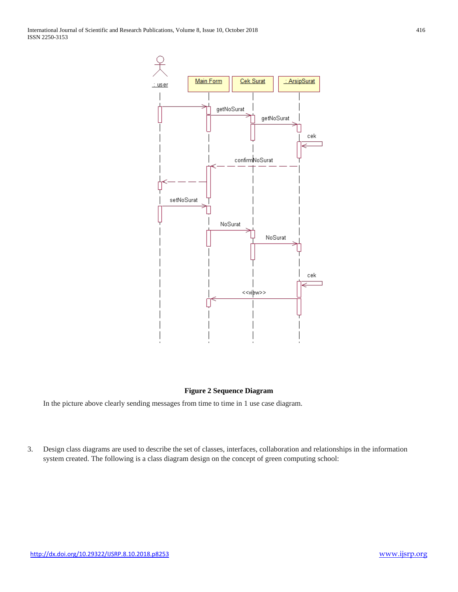

## **Figure 2 Sequence Diagram**

In the picture above clearly sending messages from time to time in 1 use case diagram.

3. Design class diagrams are used to describe the set of classes, interfaces, collaboration and relationships in the information system created. The following is a class diagram design on the concept of green computing school: